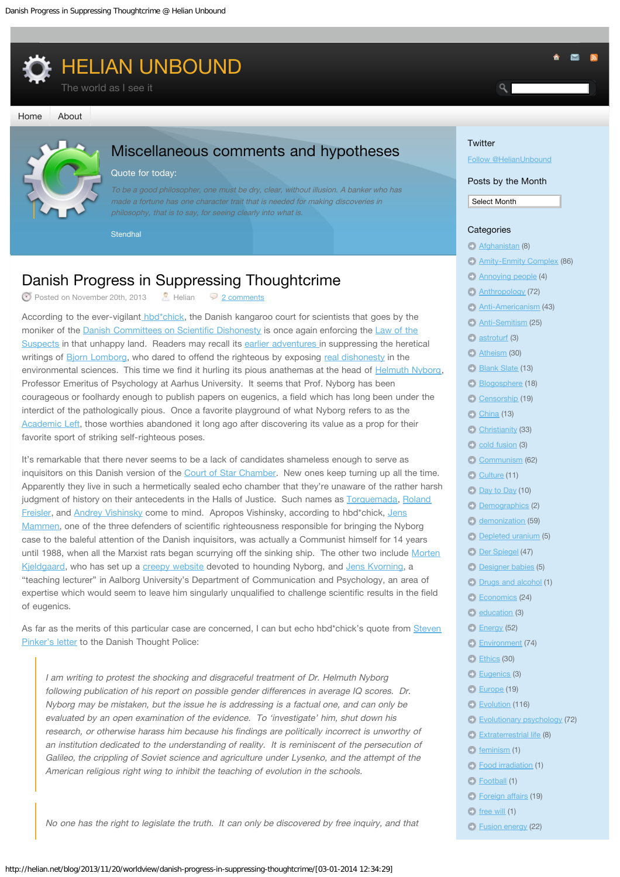<span id="page-0-0"></span>

#### [Home](http://helian.net/blog/) [About](http://helian.net/blog/about/)



# Miscellaneous comments and hypotheses

#### Quote for today:

To be a good philosopher, one must be dry, clear, without illusion. A banker who has made a fortune has one character trait that is needed for making discoveries in philosophy, that is to say, for seeing clearly into what is.

**Stendhal** 

# Danish Progress in Suppressing Thoughtcrime

 $\bullet$  Posted on November 20th, 2013  $\bullet$  Helian [2 comments](#page-0-0)

According to the ever-vigilant [hbd\\*chick,](http://hbdchick.wordpress.com/) the Danish kangaroo court for scientists that goes by the moniker of the [Danish Committees on Scientific Dishonesty](http://fivu.dk/en/research-and-innovation/councils-and-commissions/the-danish-committees-on-scientific-dishonesty/the-danish-committees-on-scientific-dishonesty) is once again enforcing the [Law of the](http://alphahistory.com/frenchrevolution/law-of-suspects-1793/) [Suspects](http://alphahistory.com/frenchrevolution/law-of-suspects-1793/) in that unhappy land. Readers may recall its [earlier adventures i](http://reason.com/blog/2004/03/12/case-against-scientifically-ho)n suppressing the heretical writings of [Bjorn Lomborg,](http://www.lomborg.com/) who dared to offend the righteous by exposing [real dishonesty](http://reason.com/archives/2002/02/01/debunking-green-myths) in the environmental sciences. This time we find it hurling its pious anathemas at the head of [Helmuth Nyborg,](http://www.helmuthnyborg.dk/) Professor Emeritus of Psychology at Aarhus University. It seems that Prof. Nyborg has been courageous or foolhardy enough to publish papers on eugenics, a field which has long been under the interdict of the pathologically pious. Once a favorite playground of what Nyborg refers to as the [Academic Left,](http://www.theguardian.com/commentisfree/2012/feb/17/eugenics-skeleton-rattles-loudest-closet-left) those worthies abandoned it long ago after discovering its value as a prop for their favorite sport of striking self-righteous poses.

It's remarkable that there never seems to be a lack of candidates shameless enough to serve as inquisitors on this Danish version of the [Court of Star Chamber.](http://www.britainexpress.com/History/tudor/star-chamber.htm) New ones keep turning up all the time. Apparently they live in such a hermetically sealed echo chamber that they're unaware of the rather harsh judgment of history on their antecedents in the Halls of Justice. Such names as [Torquemada,](http://en.wikipedia.org/wiki/Tom%C3%A1s_de_Torquemada) [Roland](http://www.youtube.com/watch?v=UQaP5aLVig8) [Freisler](http://www.youtube.com/watch?v=UQaP5aLVig8), and [Andrey Vishinsky](http://www.youtube.com/watch?v=nFB9G1HINXI) come to mind. Apropos Vishinsky, according to hbd\*chick, [Jens](http://pure.au.dk/portal/en/persons/jens-mammen(416ad3b2-2214-4746-a61b-37c909898725).html) [Mammen](http://pure.au.dk/portal/en/persons/jens-mammen(416ad3b2-2214-4746-a61b-37c909898725).html), one of the three defenders of scientific righteousness responsible for bringing the Nyborg case to the baleful attention of the Danish inquisitors, was actually a Communist himself for 14 years until 1988, when all the Marxist rats began scurrying off the sinking ship. The other two include [Morten](http://pure.au.dk/portal/en/persons/morten-kjeldgaard(eadacc00-b06e-4113-8ca0-e327dea46864)/persons/morten-kjeldgaard(eadacc00-b06e-4113-8ca0-e327dea46864).html) [Kjeldgaard,](http://pure.au.dk/portal/en/persons/morten-kjeldgaard(eadacc00-b06e-4113-8ca0-e327dea46864)/persons/morten-kjeldgaard(eadacc00-b06e-4113-8ca0-e327dea46864).html) who has set up a [creepy website](http://eugenik.dk/) devoted to hounding Nyborg, and [Jens Kvorning](http://personprofil.aau.dk/108611), a "teaching lecturer" in Aalborg University's Department of Communication and Psychology, an area of expertise which would seem to leave him singularly unqualified to challenge scientific results in the field of eugenics.

As far as the merits of this particular case are concerned. I can but echo hbd\*chick's quote from [Steven](http://drjamesthompson.blogspot.com/2013/11/helmuth-nyborg-gets-watsond.html?showComment=1384422265650#c3494014103510341540) [Pinker's letter](http://drjamesthompson.blogspot.com/2013/11/helmuth-nyborg-gets-watsond.html?showComment=1384422265650#c3494014103510341540) to the Danish Thought Police:

I am writing to protest the shocking and disgraceful treatment of Dr. Helmuth Nyborg following publication of his report on possible gender differences in average IQ scores. Dr. Nyborg may be mistaken, but the issue he is addressing is a factual one, and can only be evaluated by an open examination of the evidence. To 'investigate' him, shut down his research, or otherwise harass him because his findings are politically incorrect is unworthy of an institution dedicated to the understanding of reality. It is reminiscent of the persecution of Galileo, the crippling of Soviet science and agriculture under Lysenko, and the attempt of the American religious right wing to inhibit the teaching of evolution in the schools.

No one has the right to legislate the truth. It can only be discovered by free inquiry, and that

## **Twitter**

[Follow @HelianUnbound](http://twitter.com/HelianUnbound)

#### Posts by the Month

Select Month Select Month

### **Categories**

### [Afghanistan](http://helian.net/blog/category/afghanistan/) (8)

- [Amity-Enmity Complex](http://helian.net/blog/category/amity-enmity-complex/) (86)
- [Annoying people](http://helian.net/blog/category/annoying-people/) (4)
- **[Anthropology](http://helian.net/blog/category/anthropology/) (72)**
- **[Anti-Americanism](http://helian.net/blog/category/anti-americanism/) (43)**
- **[Anti-Semitism](http://helian.net/blog/category/anti-semitism/) (25)**
- **astroturf** (3)
- **[Atheism](http://helian.net/blog/category/atheism/) (30)**
- **[Blank Slate](http://helian.net/blog/category/blank-slate/) (13)**
- [Blogosphere](http://helian.net/blog/category/blogosphere/) (18)
- 
- [Censorship](http://helian.net/blog/category/censorship/) (19)
- $China(13)$
- [Christianity](http://helian.net/blog/category/christianity/) (33)
- $\bullet$  [cold fusion](http://helian.net/blog/category/cold-fusion/) (3)
- [Communism](http://helian.net/blog/category/communism/) (62)
- [Culture](http://helian.net/blog/category/culture/) (11)
- [Day to Day](http://helian.net/blog/category/daytoday/) (10)
- [Demographics](http://helian.net/blog/category/demographics/) (2)
- [demonization](http://helian.net/blog/category/demonization/) (59)
- [Depleted uranium](http://helian.net/blog/category/depleted-uranium/) (5)
- [Der Spiegel](http://helian.net/blog/category/der-spiegel/) (47)
- [Designer babies](http://helian.net/blog/category/designer-babies/) (5)
- [Drugs and alcohol](http://helian.net/blog/category/drugs-and-alcohol/) (1)
- [Economics](http://helian.net/blog/category/economics/) (24)
- $\overline{\phantom{a}}$  [education](http://helian.net/blog/category/education/) (3)
- [Energy](http://helian.net/blog/category/energy/) (52)
- [Environment](http://helian.net/blog/category/environment/) (74)
- [Ethics](http://helian.net/blog/category/ethics/) (30)
- [Eugenics](http://helian.net/blog/category/eugenics/) (3)
- [Europe](http://helian.net/blog/category/europe/) (19)
	-
- **Evolution** (116)
- [Evolutionary psychology](http://helian.net/blog/category/evolutionary-psychology-2/) (72)
- [Extraterrestrial life](http://helian.net/blog/category/extraterrestrial-life/) (8)
- $f$  [feminism](http://helian.net/blog/category/feminism/) (1)
- [Food irradiation](http://helian.net/blog/category/food-irradiation/) (1)
- [Football](http://helian.net/blog/category/football-2/) (1)
- [Foreign affairs](http://helian.net/blog/category/foreign-affairs/) (19)
- [free will](http://helian.net/blog/category/free-will/)  $(1)$
- [Fusion energy](http://helian.net/blog/category/fusion-energy/) (22)

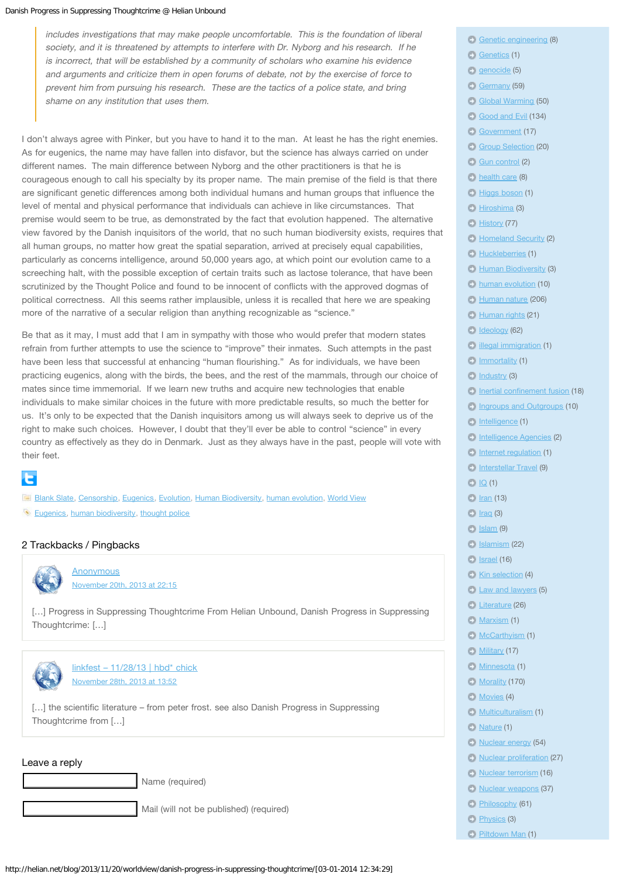includes investigations that may make people uncomfortable. This is the foundation of liberal society, and it is threatened by attempts to interfere with Dr. Nyborg and his research. If he is incorrect, that will be established by a community of scholars who examine his evidence and arguments and criticize them in open forums of debate, not by the exercise of force to prevent him from pursuing his research. These are the tactics of a police state, and bring shame on any institution that uses them.

I don't always agree with Pinker, but you have to hand it to the man. At least he has the right enemies. As for eugenics, the name may have fallen into disfavor, but the science has always carried on under different names. The main difference between Nyborg and the other practitioners is that he is courageous enough to call his specialty by its proper name. The main premise of the field is that there are significant genetic differences among both individual humans and human groups that influence the level of mental and physical performance that individuals can achieve in like circumstances. That premise would seem to be true, as demonstrated by the fact that evolution happened. The alternative view favored by the Danish inquisitors of the world, that no such human biodiversity exists, requires that all human groups, no matter how great the spatial separation, arrived at precisely equal capabilities, particularly as concerns intelligence, around 50,000 years ago, at which point our evolution came to a screeching halt, with the possible exception of certain traits such as lactose tolerance, that have been scrutinized by the Thought Police and found to be innocent of conflicts with the approved dogmas of political correctness. All this seems rather implausible, unless it is recalled that here we are speaking more of the narrative of a secular religion than anything recognizable as "science."

Be that as it may, I must add that I am in sympathy with those who would prefer that modern states refrain from further attempts to use the science to "improve" their inmates. Such attempts in the past have been less that successful at enhancing "human flourishing." As for individuals, we have been practicing eugenics, along with the birds, the bees, and the rest of the mammals, through our choice of mates since time immemorial. If we learn new truths and acquire new technologies that enable individuals to make similar choices in the future with more predictable results, so much the better for us. It's only to be expected that the Danish inquisitors among us will always seek to deprive us of the right to make such choices. However, I doubt that they'll ever be able to control "science" in every country as effectively as they do in Denmark. Just as they always have in the past, people will vote with their feet.

# е

**[Blank Slate](http://helian.net/blog/category/blank-slate/), [Censorship](http://helian.net/blog/category/censorship/), [Eugenics,](http://helian.net/blog/category/eugenics/) [Evolution,](http://helian.net/blog/category/evolution/) [Human Biodiversity](http://helian.net/blog/category/human-biodiversity/), [human evolution](http://helian.net/blog/category/human-evolution/), [World View](http://helian.net/blog/category/worldview/) [Eugenics,](http://helian.net/blog/tag/eugenics/) [human biodiversity](http://helian.net/blog/tag/human-biodiversity-2/), [thought police](http://helian.net/blog/tag/thought-police/)** 

## 2 Trackbacks / Pingbacks

<span id="page-1-0"></span>

**[Anonymous](http://www.stormfront.org/forum/t1005316-2/#post11693832)** [November 20th, 2013 at 22:15](#page-1-0)

[...] Progress in Suppressing Thoughtcrime From Helian Unbound, Danish Progress in Suppressing Thoughtcrime: […]

<span id="page-1-1"></span>

 $linkfest - 11/28/13$  | hbd\* chick [November 28th, 2013 at 13:52](#page-1-1)

[...] the scientific literature – from peter frost, see also Danish Progress in Suppressing Thoughtcrime from […]

### Leave a reply

Mail (will not be published) (required)

- [Genetic engineering](http://helian.net/blog/category/genetic-engineering/) (8)
- [Genetics](http://helian.net/blog/category/genetics/) (1)
- **genocide** (5)
- [Germany](http://helian.net/blog/category/germany/) (59)
- [Global Warming](http://helian.net/blog/category/global-warming/) (50)
- [Good and Evil](http://helian.net/blog/category/good-and-evil/) (134)
- [Government](http://helian.net/blog/category/government/) (17)
- [Group Selection](http://helian.net/blog/category/group-selection/) (20)
- [Gun control](http://helian.net/blog/category/gun-control/) (2)
- **[health care](http://helian.net/blog/category/health-care/) (8)**
- [Higgs boson](http://helian.net/blog/category/higgs-boson/) (1)
- [Hiroshima](http://helian.net/blog/category/hiroshima/) (3)
- **[History](http://helian.net/blog/category/history/) (77)**
- **[Homeland Security](http://helian.net/blog/category/homeland-security/) (2)**
- **[Huckleberries](http://helian.net/blog/category/huckleberries/) (1)**
- **[Human Biodiversity](http://helian.net/blog/category/human-biodiversity/) (3)**
- **[human evolution](http://helian.net/blog/category/human-evolution/) (10)**
- **[Human nature](http://helian.net/blog/category/human-nature/) (206)**
- **[Human rights](http://helian.net/blog/category/human-rights/) (21)**
- [Ideology](http://helian.net/blog/category/ideology/) (62)
- $\blacksquare$  [illegal immigration](http://helian.net/blog/category/illegal-immigration/) (1)
- $\Box$  [Immortality](http://helian.net/blog/category/immortality/) (1)
- [Industry](http://helian.net/blog/category/industry/) (3)
- [Inertial confinement fusion](http://helian.net/blog/category/inertial-confinement-fusion/) (18)
- **[Ingroups and Outgroups](http://helian.net/blog/category/ingroups-and-outgroups/) (10)**
- [Intelligence](http://helian.net/blog/category/intelligence/) (1)
- [Intelligence Agencies](http://helian.net/blog/category/intelligence-agencies/) (2)
- [Internet regulation](http://helian.net/blog/category/internet-regulation/) (1)
- [Interstellar Travel](http://helian.net/blog/category/interstellar-travel/) (9)
- $\Box$  [IQ](http://helian.net/blog/category/iq/) (1)
- $E$  [Iran](http://helian.net/blog/category/iran/) (13)
- $I = I$   $I$   $raq(3)$
- $I = Islam(9)$
- [Islamism](http://helian.net/blog/category/islamism/) (22)
- [Israel](http://helian.net/blog/category/israel/) (16)
- [Kin selection](http://helian.net/blog/category/kin-selection/) (4)
- **[Law and lawyers](http://helian.net/blog/category/law-and-lawyers/) (5)**
- **[Literature](http://helian.net/blog/category/literature/) (26)**
- $\Box$  [Marxism](http://helian.net/blog/category/marxism/) (1)
- **[McCarthyism](http://helian.net/blog/category/mccarthyism/) (1)**
- **[Military](http://helian.net/blog/category/military/) (17)**
- **Minnesota** (1)
- **[Morality](http://helian.net/blog/category/morality/) (170)**
- **[Movies](http://helian.net/blog/category/movies/) (4)**
- **[Multiculturalism](http://helian.net/blog/category/multiculturalism/) (1)**
- $\bullet$  [Nature](http://helian.net/blog/category/nature/) (1)
- [Nuclear energy](http://helian.net/blog/category/nuclear-energy/) (54)
- [Nuclear proliferation](http://helian.net/blog/category/nuclear-proliferation/) (27)
- **[Nuclear terrorism](http://helian.net/blog/category/nuclear-terrorism/) (16)**
- [Nuclear weapons](http://helian.net/blog/category/nuclear-weapons/) (37)
- [Philosophy](http://helian.net/blog/category/philosophy/) (61)
- **[Physics](http://helian.net/blog/category/physics/) (3)**
- **[Piltdown Man](http://helian.net/blog/category/piltdown-man/) (1)**

Name (required)